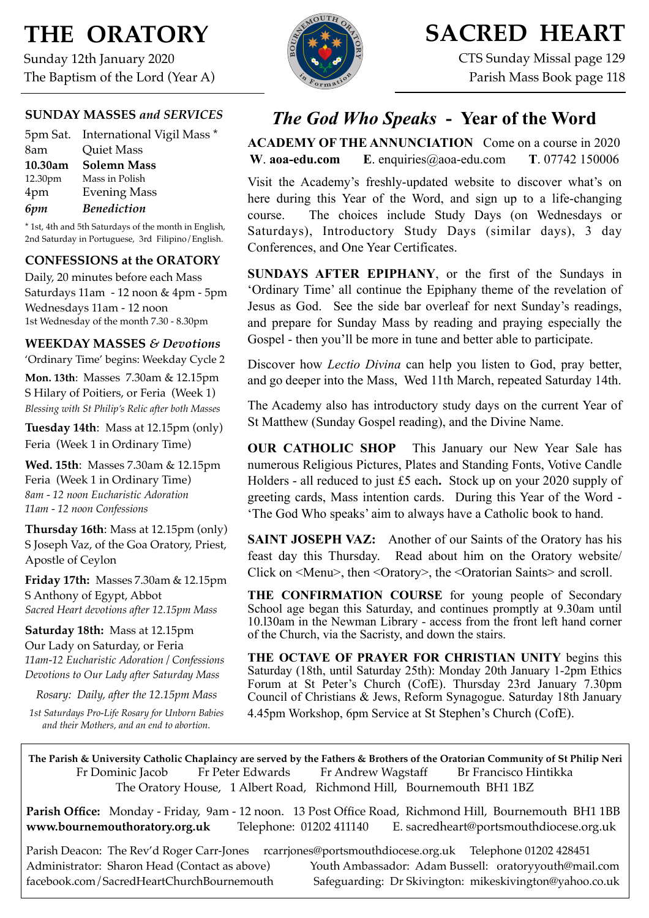# **THE ORATORY**

Sunday 12th January 2020 The Baptism of the Lord (Year A)

## **SUNDAY MASSES** *and SERVICES*

|         | 5pm Sat. International Vigil Mass * |
|---------|-------------------------------------|
| 8am     | <b>Quiet Mass</b>                   |
| 10.30am | <b>Solemn Mass</b>                  |
| 12.30pm | Mass in Polish                      |
| 4pm     | <b>Evening Mass</b>                 |
| 6pm     | <b>Benediction</b>                  |

\* 1st, 4th and 5th Saturdays of the month in English, 2nd Saturday in Portuguese, 3rd Filipino/English.

### **CONFESSIONS at the ORATORY**

Daily, 20 minutes before each Mass Saturdays 11am - 12 noon & 4pm - 5pm Wednesdays 11am - 12 noon 1st Wednesday of the month 7.30 - 8.30pm

### **WEEKDAY MASSES** *& Devotions*

'Ordinary Time' begins: Weekday Cycle 2

**Mon. 13th**: Masses 7.30am & 12.15pm S Hilary of Poitiers, or Feria (Week 1) *Blessing with St Philip's Relic after both Masses*

**Tuesday 14th**: Mass at 12.15pm (only) Feria (Week 1 in Ordinary Time)

**Wed. 15th**: Masses 7.30am & 12.15pm Feria (Week 1 in Ordinary Time) *8am - 12 noon Eucharistic Adoration 11am - 12 noon Confessions*

**Thursday 16th**: Mass at 12.15pm (only) S Joseph Vaz, of the Goa Oratory, Priest, Apostle of Ceylon

**Friday 17th:** Masses 7.30am & 12.15pm S Anthony of Egypt, Abbot *Sacred Heart devotions after 12.15pm Mass*

**Saturday 18th:** Mass at 12.15pm Our Lady on Saturday, or Feria *11am-12 Eucharistic Adoration / Confessions Devotions to Our Lady after Saturday Mass*

*Rosary: Daily, after the 12.15pm Mass*

*1st Saturdays Pro-Life Rosary for Unborn Babies and their Mothers, and an end to abortion.*



# **SACRED HEART**

CTS Sunday Missal page 129 Parish Mass Book page 118

# *The God Who Speaks* **- Year of the Word**

**ACADEMY OF THE ANNUNCIATION** Come on a course in 2020 **W**. **[aoa-edu.com](http://aoa-edu.com) E**. [enquiries@aoa-edu.com](mailto:enquiries@aoa-edu.com) **T**. 07742 150006

Visit the Academy's freshly-updated website to discover what's on here during this Year of the Word, and sign up to a life-changing course. The choices include Study Days (on Wednesdays or Saturdays), Introductory Study Days (similar days), 3 day Conferences, and One Year Certificates.

**SUNDAYS AFTER EPIPHANY**, or the first of the Sundays in 'Ordinary Time' all continue the Epiphany theme of the revelation of Jesus as God. See the side bar overleaf for next Sunday's readings, and prepare for Sunday Mass by reading and praying especially the Gospel - then you'll be more in tune and better able to participate.

Discover how *Lectio Divina* can help you listen to God, pray better, and go deeper into the Mass, Wed 11th March, repeated Saturday 14th.

The Academy also has introductory study days on the current Year of St Matthew (Sunday Gospel reading), and the Divine Name.

**OUR CATHOLIC SHOP** This January our New Year Sale has numerous Religious Pictures, Plates and Standing Fonts, Votive Candle Holders - all reduced to just £5 each**.** Stock up on your 2020 supply of greeting cards, Mass intention cards. During this Year of the Word - 'The God Who speaks' aim to always have a Catholic book to hand.

**SAINT JOSEPH VAZ:** Another of our Saints of the Oratory has his feast day this Thursday. Read about him on the Oratory website/ Click on <Menu>, then <Oratory>, the <Oratorian Saints> and scroll.

**THE CONFIRMATION COURSE** for young people of Secondary School age began this Saturday, and continues promptly at 9.30am until 10.l30am in the Newman Library - access from the front left hand corner of the Church, via the Sacristy, and down the stairs.

**THE OCTAVE OF PRAYER FOR CHRISTIAN UNITY** begins this Saturday (18th, until Saturday 25th): Monday 20th January 1-2pm Ethics Forum at St Peter's Church (CofE). Thursday 23rd January 7.30pm Council of Christians & Jews, Reform Synagogue. Saturday 18th January 4.45pm Workshop, 6pm Service at St Stephen's Church (CofE).

**The Parish & University Catholic Chaplaincy are served by the Fathers & Brothers of the Oratorian Community of St Philip Neri**  Fr Dominic Jacob Fr Peter Edwards Fr Andrew Wagstaff Br Francisco Hintikka The Oratory House, 1 Albert Road, Richmond Hill, Bournemouth BH1 1BZ

**Parish Office:** Monday - Friday, 9am - 12 noon. 13 Post Office Road, Richmond Hill, Bournemouth BH1 1BB **[www.bournemouthoratory.org.uk](http://www.bournemoithoratory.org.uk)** Telephone: 01202 411140 E. [sacredheart@portsmouthdiocese.org.uk](mailto:sacredheart@portsmouthdiocese.org.uk)

Parish Deacon: The Rev'd Roger Carr-Jones [rcarrjones@portsmouthdiocese.org.uk](mailto:rcarrjones@portsmouthdiocese.org.uk) Telephone 01202 428451 Administrator: Sharon Head (Contact as above) Youth Ambassador: Adam Bussell: [oratoryyouth@mail.com](http://oratoryyouth.mail.com) [facebook.com/SacredHeartChurchBournemouth](http://facebook.com/SaccredHeartChurchBournemouth) Safeguarding: Dr Skivington: mikeskivington@yahoo.co.uk